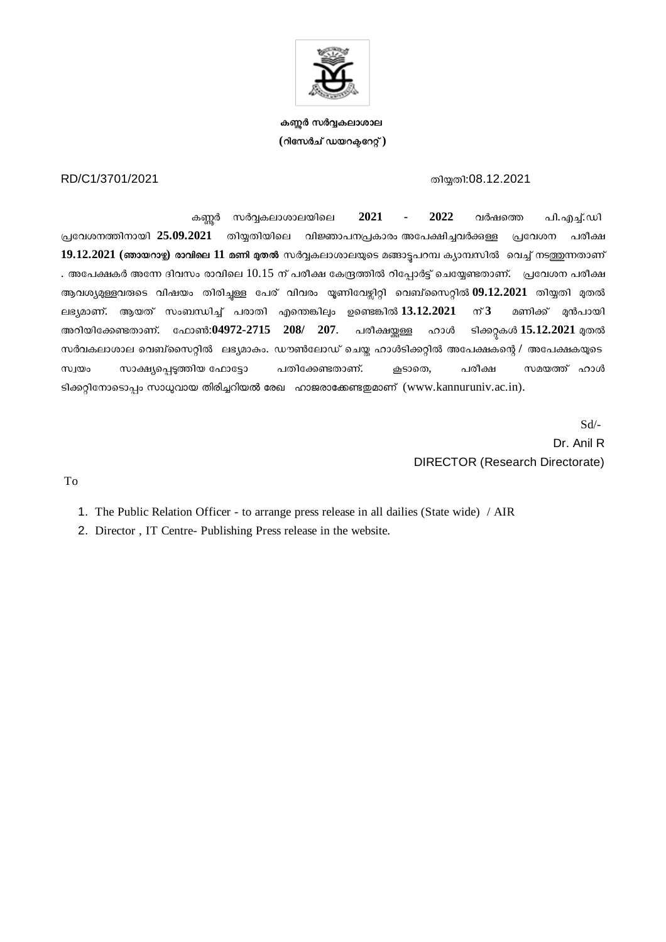

**ക-ർ സർകലാശാല (റിേസർച് ഡയറേറ് )**

## RD/C1/3701/2021 സ്ഥാന സ്ഥാന സ്വസ്ത സ്വസ്ത സ്വസ്ത സ്വസ്ത സ്വസ്ത സ്വസ്ത സ്വസ്ത സ്വസ്ത സ്വസ്ത സ്വസ്ത സ്വസ്ത സ്വസ

കർ സർകലാശാലയിെല **2021 - 2022** വർഷെ പി.എ്.ഡി പ്രവേശനത്തിനായി 25.09.2021 തിയ്യതിയിലെ വിജ്ഞാപനപ്രകാരം അപേക്ഷിച്ചവർക്കള്ള പ്രവേശന പരീക്ഷ 19.12.2021 (ഞായറാഴ്ച) രാവിലെ 11 മണി മുതൽ സർവ്വകലാശാലയുടെ മങ്ങാട്ടപറമ്പ ക്യാമ്പസിൽ വെച്ച് നടത്തുന്നതാണ് . അപേക്ഷകർ അന്നേ ദിവസം രാവിലെ 10.15 ന് പരീക്ഷ കേന്ദ്രത്തിൽ റിപ്പോർട്ട് ചെയ്യേണ്ടതാണ്. ുപ്രവേശന പരീക്ഷ ആവശ്യമുള്ളവരുടെ വിഷയം തിരിച്ചള്ള പേര് വിവരം യൂണിവേഴ്ചിറ്റി വെബ്സൈറ്റിൽ 09.12.2021 തിയ്യതി മുതൽ ലഭ്യമാണ്. ആയത് സംബന്ധിച്ച് പരാതി എന്തെങ്കിലും ഉണ്ടെങ്കിൽ 13.12.2021 ന് 3 മണിക്ക് മുൻപായി അറിയിക്കേണ്ടതാണ്. ഫോൺ:04972-2715 208/ 207. പരീക്ഷയ്ക്കള്ള ഹാൾ ടിക്കറ്റകൾ 15.12.2021 മുതൽ സർവകലാശാല വെബ്സൈറ്റിൽ ലഭ്യമാകം. ഡൗൺലോഡ് ചെയ്ത ഹാൾടിക്കറ്റിൽ അപേക്ഷകന്റെ / അപേക്ഷകയുടെ സ്വയം സാക്ഷ്യപ്പെടുത്തിയ ഫോട്ടോ പതിക്കേണ്ടതാണ്. കൂടാതെ, പരീക്ഷ സമയത്ത് ഹാൾ ടിക്കറ്റിനോടൊപ്പം സാധ്യവായ തിരിച്ചറിയൽ രേഖ $\sim$  ഹാജരാക്കേണ്ടതമാണ് (www.kannuruniv.ac.in).

> Sd/- Dr. Anil R DIRECTOR (Research Directorate)

To

1. The Public Relation Officer - to arrange press release in all dailies (State wide) / AIR

2. Director , IT Centre- Publishing Press release in the website.